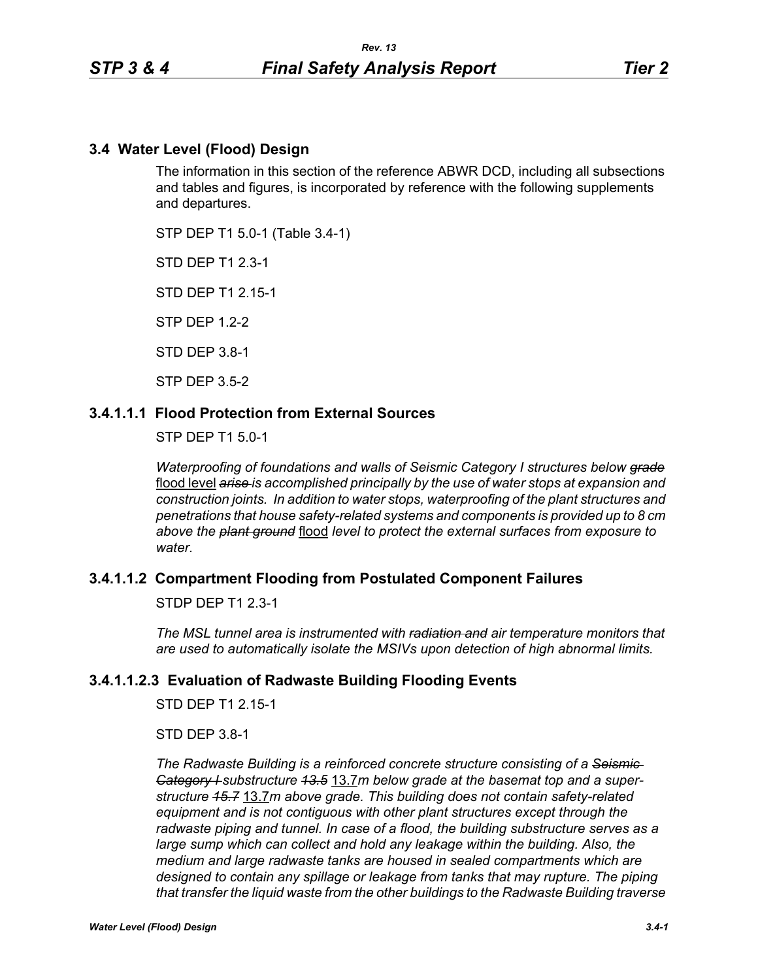## **3.4 Water Level (Flood) Design**

The information in this section of the reference ABWR DCD, including all subsections and tables and figures, is incorporated by reference with the following supplements and departures.

STP DEP T1 5.0-1 (Table 3.4-1)

STD DEP T1 2.3-1

STD DEP T1 2.15-1

STP DEP 1.2-2

STD DEP 3.8-1

STP DEP 3.5-2

## **3.4.1.1.1 Flood Protection from External Sources**

STP DEP T1 5.0-1

*Waterproofing of foundations and walls of Seismic Category I structures below grade* flood level *arise is accomplished principally by the use of water stops at expansion and construction joints. In addition to water stops, waterproofing of the plant structures and penetrations that house safety-related systems and components is provided up to 8 cm above the plant ground* flood *level to protect the external surfaces from exposure to water.*

### **3.4.1.1.2 Compartment Flooding from Postulated Component Failures**

STDP DEP T1 2.3-1

*The MSL tunnel area is instrumented with radiation and air temperature monitors that are used to automatically isolate the MSIVs upon detection of high abnormal limits.*

### **3.4.1.1.2.3 Evaluation of Radwaste Building Flooding Events**

STD DEP T1 2 15-1

STD DEP 3.8-1

*The Radwaste Building is a reinforced concrete structure consisting of a Seismic Category I substructure 13.5* 13.7*m below grade at the basemat top and a superstructure 15.7* 13.7*m above grade. This building does not contain safety-related equipment and is not contiguous with other plant structures except through the radwaste piping and tunnel. In case of a flood, the building substructure serves as a large sump which can collect and hold any leakage within the building. Also, the medium and large radwaste tanks are housed in sealed compartments which are designed to contain any spillage or leakage from tanks that may rupture. The piping that transfer the liquid waste from the other buildings to the Radwaste Building traverse*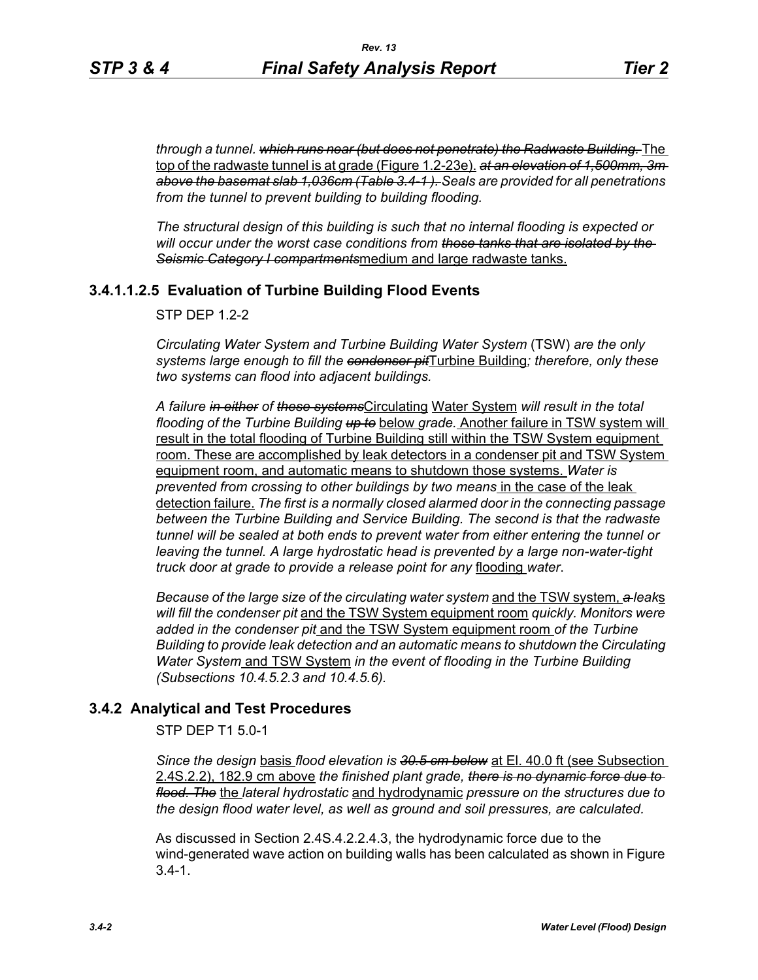*through a tunnel. which runs near (but does not penetrate) the Radwaste Building.* The top of the radwaste tunnel is at grade (Figure 1.2-23e). *at an elevation of 1,500mm, 3m above the basemat slab 1,036cm (Table 3.4-1 ). Seals are provided for all penetrations from the tunnel to prevent building to building flooding.*

*The structural design of this building is such that no internal flooding is expected or will occur under the worst case conditions from those tanks that are isolated by the Seismic Category I compartments*medium and large radwaste tanks.

# **3.4.1.1.2.5 Evaluation of Turbine Building Flood Events**

 $STP$  DFP 12-2

*Circulating Water System and Turbine Building Water System* (TSW) *are the only systems large enough to fill the condenser pit*Turbine Building*; therefore, only these two systems can flood into adjacent buildings.*

*A failure in either of these systems*Circulating Water System *will result in the total flooding of the Turbine Building up to* below *grade.* Another failure in TSW system will result in the total flooding of Turbine Building still within the TSW System equipment room. These are accomplished by leak detectors in a condenser pit and TSW System equipment room, and automatic means to shutdown those systems. *Water is prevented from crossing to other buildings by two means* in the case of the leak detection failure. *The first is a normally closed alarmed door in the connecting passage between the Turbine Building and Service Building. The second is that the radwaste tunnel will be sealed at both ends to prevent water from either entering the tunnel or leaving the tunnel. A large hydrostatic head is prevented by a large non-water-tight truck door at grade to provide a release point for any* flooding *water*.

*Because of the large size of the circulating water system* and the TSW system, *a leak*s *will fill the condenser pit* and the TSW System equipment room *quickly. Monitors were added in the condenser pit* and the TSW System equipment room *of the Turbine Building to provide leak detection and an automatic means to shutdown the Circulating Water System* and TSW System *in the event of flooding in the Turbine Building (Subsections 10.4.5.2.3 and 10.4.5.6).*

### **3.4.2 Analytical and Test Procedures**

STP DEP T1 5.0-1

*Since the design* basis *flood elevation is 30.5 cm below* at El. 40.0 ft (see Subsection 2.4S.2.2), 182.9 cm above *the finished plant grade, there is no dynamic force due to flood. The* the *lateral hydrostatic* and hydrodynamic *pressure on the structures due to the design flood water level, as well as ground and soil pressures, are calculated.*

As discussed in Section 2.4S.4.2.2.4.3, the hydrodynamic force due to the wind-generated wave action on building walls has been calculated as shown in Figure  $3.4 - 1.$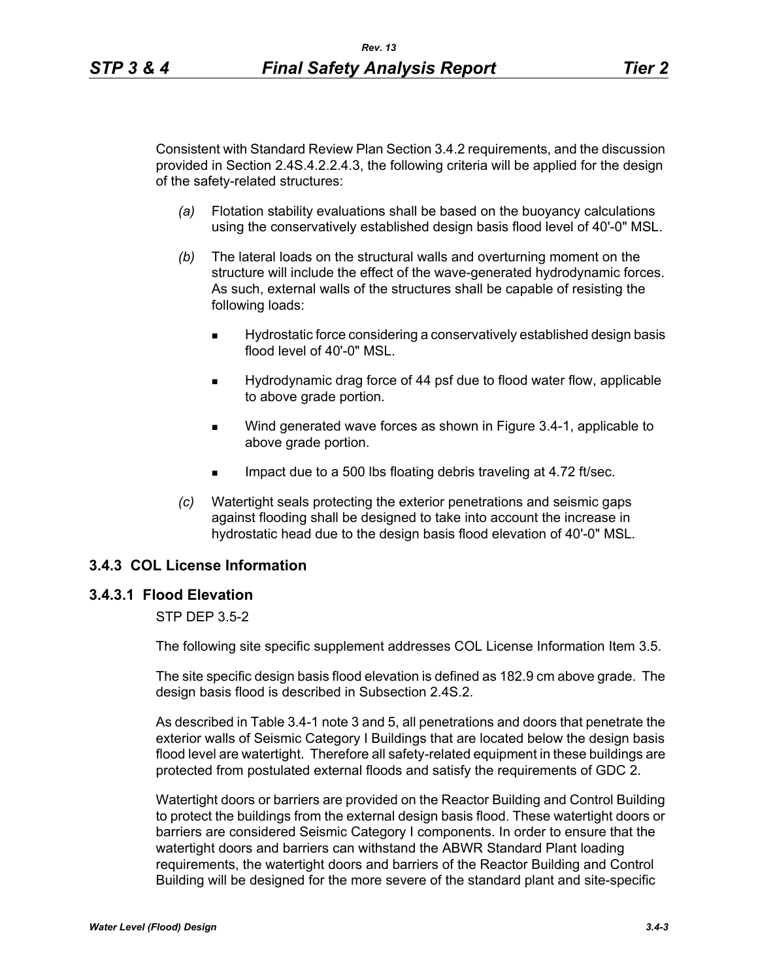Consistent with Standard Review Plan Section 3.4.2 requirements, and the discussion provided in Section 2.4S.4.2.2.4.3, the following criteria will be applied for the design of the safety-related structures:

- *(a)* Flotation stability evaluations shall be based on the buoyancy calculations using the conservatively established design basis flood level of 40'-0" MSL.
- *(b)* The lateral loads on the structural walls and overturning moment on the structure will include the effect of the wave-generated hydrodynamic forces. As such, external walls of the structures shall be capable of resisting the following loads:
	- Hydrostatic force considering a conservatively established design basis flood level of 40'-0" MSL.
	- Hydrodynamic drag force of 44 psf due to flood water flow, applicable to above grade portion.
	- **Wind generated wave forces as shown in Figure 3.4-1, applicable to** above grade portion.
	- Impact due to a 500 lbs floating debris traveling at 4.72 ft/sec.
- *(c)* Watertight seals protecting the exterior penetrations and seismic gaps against flooding shall be designed to take into account the increase in hydrostatic head due to the design basis flood elevation of 40'-0" MSL.

### **3.4.3 COL License Information**

## **3.4.3.1 Flood Elevation**

### STP DEP 3.5-2

The following site specific supplement addresses COL License Information Item 3.5.

The site specific design basis flood elevation is defined as 182.9 cm above grade. The design basis flood is described in Subsection 2.4S.2.

As described in Table 3.4-1 note 3 and 5, all penetrations and doors that penetrate the exterior walls of Seismic Category I Buildings that are located below the design basis flood level are watertight. Therefore all safety-related equipment in these buildings are protected from postulated external floods and satisfy the requirements of GDC 2.

Watertight doors or barriers are provided on the Reactor Building and Control Building to protect the buildings from the external design basis flood. These watertight doors or barriers are considered Seismic Category I components. In order to ensure that the watertight doors and barriers can withstand the ABWR Standard Plant loading requirements, the watertight doors and barriers of the Reactor Building and Control Building will be designed for the more severe of the standard plant and site-specific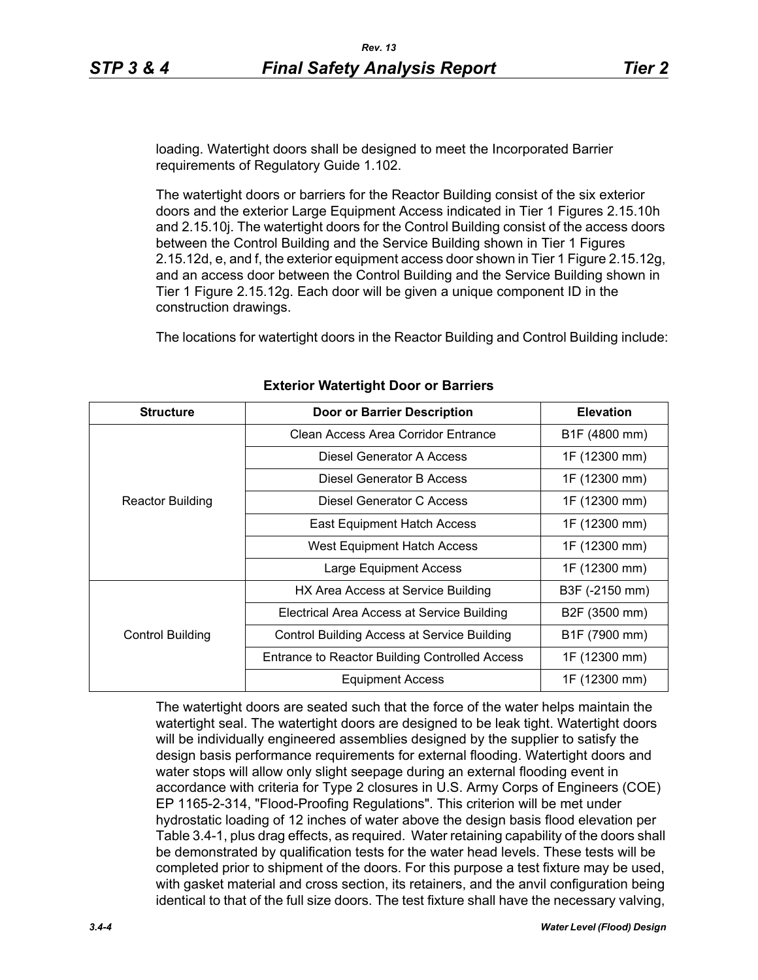loading. Watertight doors shall be designed to meet the Incorporated Barrier requirements of Regulatory Guide 1.102.

The watertight doors or barriers for the Reactor Building consist of the six exterior doors and the exterior Large Equipment Access indicated in Tier 1 Figures 2.15.10h and 2.15.10j. The watertight doors for the Control Building consist of the access doors between the Control Building and the Service Building shown in Tier 1 Figures 2.15.12d, e, and f, the exterior equipment access door shown in Tier 1 Figure 2.15.12g, and an access door between the Control Building and the Service Building shown in Tier 1 Figure 2.15.12g. Each door will be given a unique component ID in the construction drawings.

The locations for watertight doors in the Reactor Building and Control Building include:

| <b>Structure</b>        | <b>Door or Barrier Description</b>                    | <b>Elevation</b> |  |
|-------------------------|-------------------------------------------------------|------------------|--|
|                         | Clean Access Area Corridor Entrance                   | B1F (4800 mm)    |  |
| <b>Reactor Building</b> | Diesel Generator A Access                             | 1F (12300 mm)    |  |
|                         | Diesel Generator B Access                             | 1F (12300 mm)    |  |
|                         | Diesel Generator C Access                             | 1F (12300 mm)    |  |
|                         | East Equipment Hatch Access                           | 1F (12300 mm)    |  |
|                         | West Equipment Hatch Access                           | 1F (12300 mm)    |  |
|                         | <b>Large Equipment Access</b>                         | 1F (12300 mm)    |  |
|                         | HX Area Access at Service Building                    | B3F (-2150 mm)   |  |
| Control Building        | Electrical Area Access at Service Building            | B2F (3500 mm)    |  |
|                         | Control Building Access at Service Building           | B1F (7900 mm)    |  |
|                         | <b>Entrance to Reactor Building Controlled Access</b> | 1F (12300 mm)    |  |
|                         | <b>Equipment Access</b>                               | 1F (12300 mm)    |  |

### **Exterior Watertight Door or Barriers**

The watertight doors are seated such that the force of the water helps maintain the watertight seal. The watertight doors are designed to be leak tight. Watertight doors will be individually engineered assemblies designed by the supplier to satisfy the design basis performance requirements for external flooding. Watertight doors and water stops will allow only slight seepage during an external flooding event in accordance with criteria for Type 2 closures in U.S. Army Corps of Engineers (COE) EP 1165-2-314, "Flood-Proofing Regulations". This criterion will be met under hydrostatic loading of 12 inches of water above the design basis flood elevation per Table 3.4-1, plus drag effects, as required. Water retaining capability of the doors shall be demonstrated by qualification tests for the water head levels. These tests will be completed prior to shipment of the doors. For this purpose a test fixture may be used, with gasket material and cross section, its retainers, and the anvil configuration being identical to that of the full size doors. The test fixture shall have the necessary valving,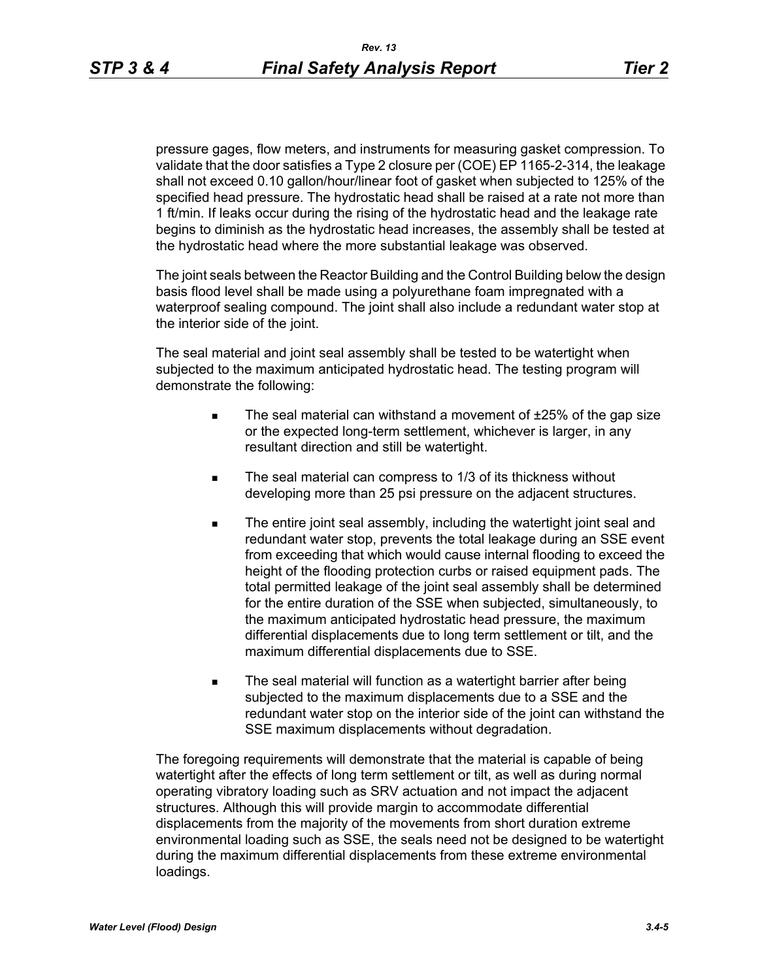pressure gages, flow meters, and instruments for measuring gasket compression. To validate that the door satisfies a Type 2 closure per (COE) EP 1165-2-314, the leakage shall not exceed 0.10 gallon/hour/linear foot of gasket when subjected to 125% of the specified head pressure. The hydrostatic head shall be raised at a rate not more than 1 ft/min. If leaks occur during the rising of the hydrostatic head and the leakage rate begins to diminish as the hydrostatic head increases, the assembly shall be tested at the hydrostatic head where the more substantial leakage was observed.

The joint seals between the Reactor Building and the Control Building below the design basis flood level shall be made using a polyurethane foam impregnated with a waterproof sealing compound. The joint shall also include a redundant water stop at the interior side of the joint.

The seal material and joint seal assembly shall be tested to be watertight when subjected to the maximum anticipated hydrostatic head. The testing program will demonstrate the following:

- The seal material can withstand a movement of  $±25%$  of the gap size or the expected long-term settlement, whichever is larger, in any resultant direction and still be watertight.
- The seal material can compress to 1/3 of its thickness without developing more than 25 psi pressure on the adjacent structures.
- The entire joint seal assembly, including the watertight joint seal and redundant water stop, prevents the total leakage during an SSE event from exceeding that which would cause internal flooding to exceed the height of the flooding protection curbs or raised equipment pads. The total permitted leakage of the joint seal assembly shall be determined for the entire duration of the SSE when subjected, simultaneously, to the maximum anticipated hydrostatic head pressure, the maximum differential displacements due to long term settlement or tilt, and the maximum differential displacements due to SSE.
- The seal material will function as a watertight barrier after being subjected to the maximum displacements due to a SSE and the redundant water stop on the interior side of the joint can withstand the SSE maximum displacements without degradation.

The foregoing requirements will demonstrate that the material is capable of being watertight after the effects of long term settlement or tilt, as well as during normal operating vibratory loading such as SRV actuation and not impact the adjacent structures. Although this will provide margin to accommodate differential displacements from the majority of the movements from short duration extreme environmental loading such as SSE, the seals need not be designed to be watertight during the maximum differential displacements from these extreme environmental loadings.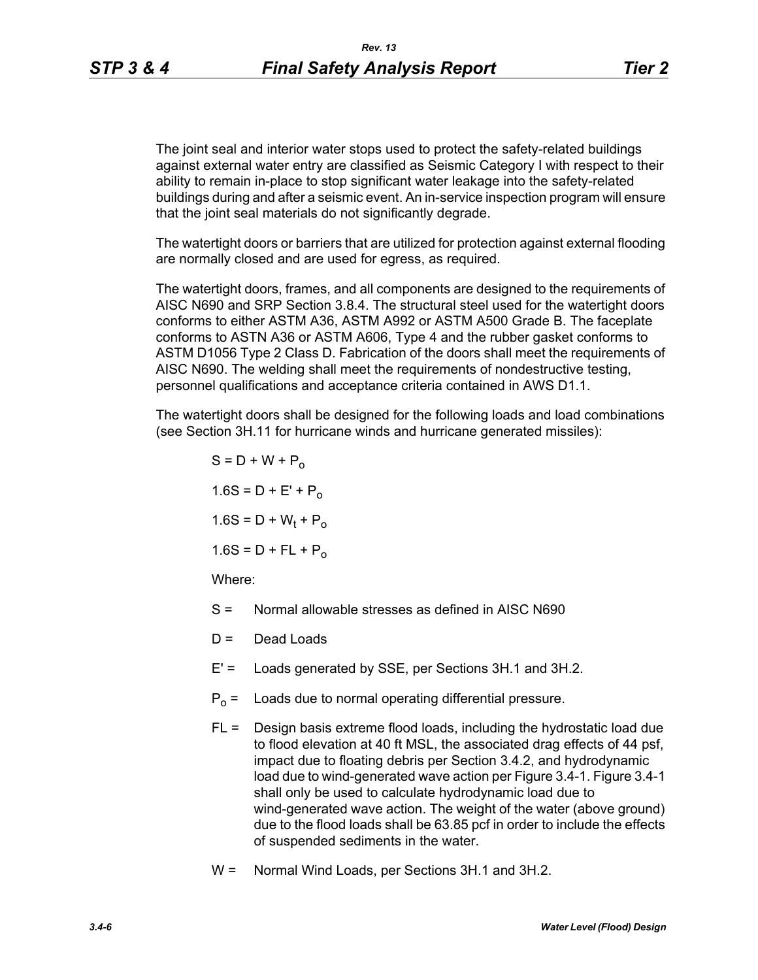The joint seal and interior water stops used to protect the safety-related buildings against external water entry are classified as Seismic Category I with respect to their ability to remain in-place to stop significant water leakage into the safety-related buildings during and after a seismic event. An in-service inspection program will ensure that the joint seal materials do not significantly degrade.

The watertight doors or barriers that are utilized for protection against external flooding are normally closed and are used for egress, as required.

The watertight doors, frames, and all components are designed to the requirements of AISC N690 and SRP Section 3.8.4. The structural steel used for the watertight doors conforms to either ASTM A36, ASTM A992 or ASTM A500 Grade B. The faceplate conforms to ASTN A36 or ASTM A606, Type 4 and the rubber gasket conforms to ASTM D1056 Type 2 Class D. Fabrication of the doors shall meet the requirements of AISC N690. The welding shall meet the requirements of nondestructive testing, personnel qualifications and acceptance criteria contained in AWS D1.1.

The watertight doors shall be designed for the following loads and load combinations (see Section 3H.11 for hurricane winds and hurricane generated missiles):

- $S = D + W + P_0$  $1.6S = D + E' + P_0$  $1.6S = D + W_t + P_o$  $1.6S = D + FL + P_0$ Where:
- S = Normal allowable stresses as defined in AISC N690
- $D =$  Dead Loads
- E' = Loads generated by SSE, per Sections 3H.1 and 3H.2.
- $P_0$  = Loads due to normal operating differential pressure.
- FL = Design basis extreme flood loads, including the hydrostatic load due to flood elevation at 40 ft MSL, the associated drag effects of 44 psf, impact due to floating debris per Section 3.4.2, and hydrodynamic load due to wind-generated wave action per Figure 3.4-1. Figure 3.4-1 shall only be used to calculate hydrodynamic load due to wind-generated wave action. The weight of the water (above ground) due to the flood loads shall be 63.85 pcf in order to include the effects of suspended sediments in the water.
- W = Normal Wind Loads, per Sections 3H.1 and 3H.2.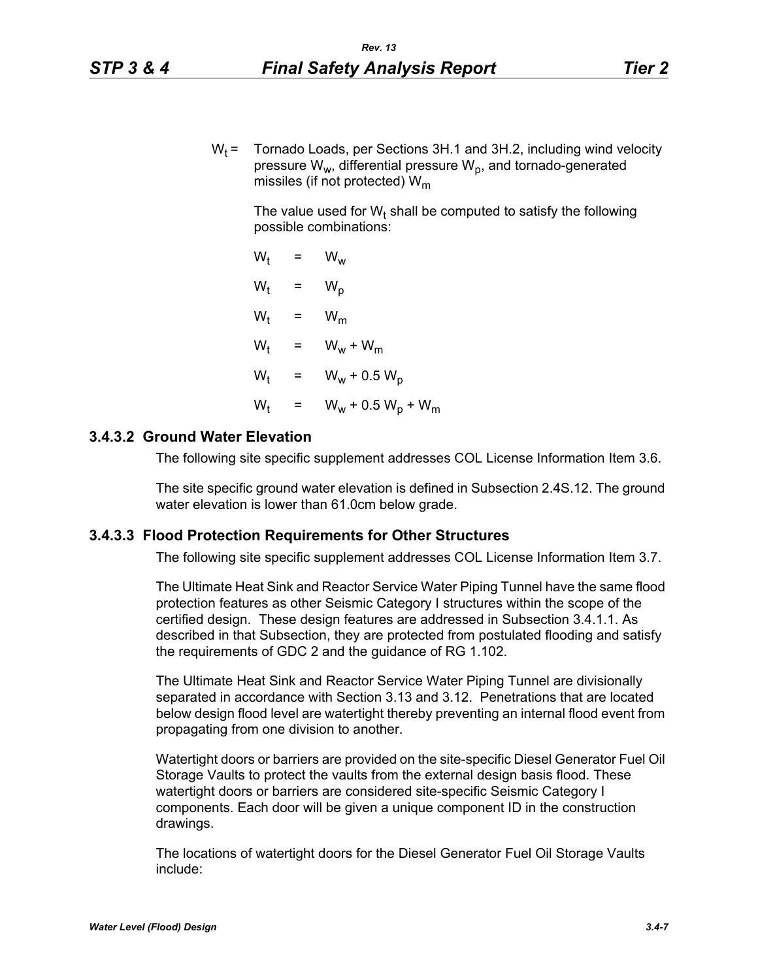$W_t$  = Tornado Loads, per Sections 3H.1 and 3H.2, including wind velocity pressure  $W_w$ , differential pressure  $W_p$ , and tornado-generated missiles (if not protected)  $W_m$ 

The value used for W<sub>t</sub> shall be computed to satisfy the following possible combinations:

 $W_t = W_w$  $W_t$  $= W_p$  $W_t$  =  $W_m$  $W_t$  =  $W_w + W_m$  $W_t$  =  $W_w + 0.5 W_p$  $W_{t}$  $= W_w + 0.5 W_p + W_m$ 

#### **3.4.3.2 Ground Water Elevation**

The following site specific supplement addresses COL License Information Item 3.6.

The site specific ground water elevation is defined in Subsection 2.4S.12. The ground water elevation is lower than 61.0cm below grade.

#### **3.4.3.3 Flood Protection Requirements for Other Structures**

The following site specific supplement addresses COL License Information Item 3.7.

The Ultimate Heat Sink and Reactor Service Water Piping Tunnel have the same flood protection features as other Seismic Category I structures within the scope of the certified design. These design features are addressed in Subsection 3.4.1.1. As described in that Subsection, they are protected from postulated flooding and satisfy the requirements of GDC 2 and the guidance of RG 1.102.

The Ultimate Heat Sink and Reactor Service Water Piping Tunnel are divisionally separated in accordance with Section 3.13 and 3.12. Penetrations that are located below design flood level are watertight thereby preventing an internal flood event from propagating from one division to another.

Watertight doors or barriers are provided on the site-specific Diesel Generator Fuel Oil Storage Vaults to protect the vaults from the external design basis flood. These watertight doors or barriers are considered site-specific Seismic Category I components. Each door will be given a unique component ID in the construction drawings.

The locations of watertight doors for the Diesel Generator Fuel Oil Storage Vaults include: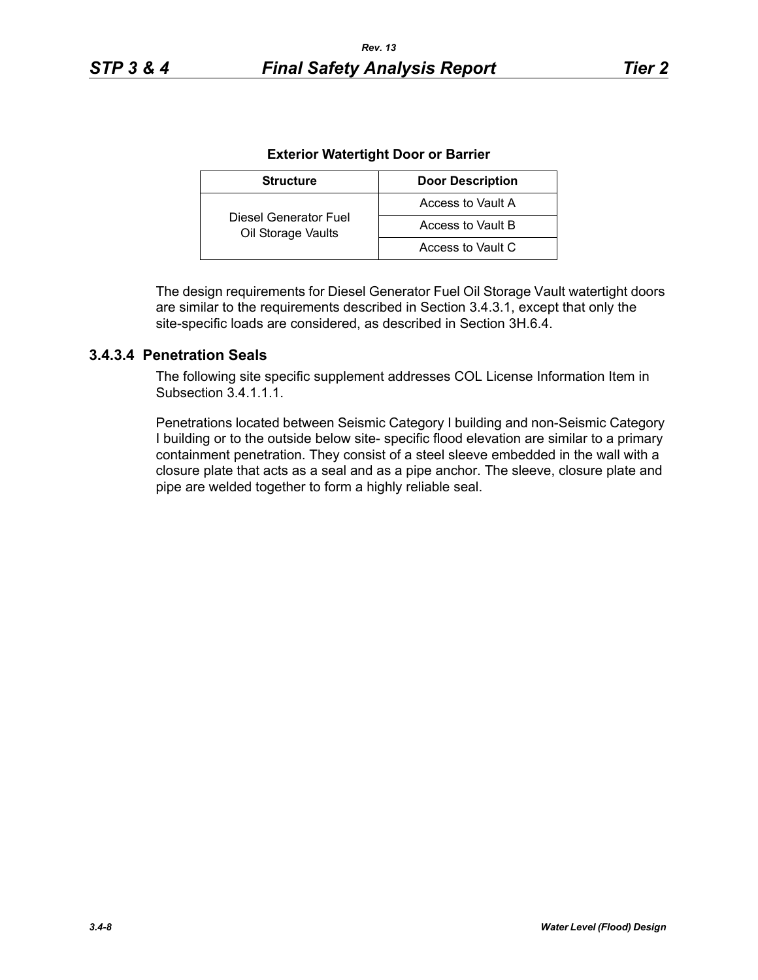| <b>Structure</b>                            | <b>Door Description</b> |
|---------------------------------------------|-------------------------|
|                                             | Access to Vault A       |
| Diesel Generator Fuel<br>Oil Storage Vaults | Access to Vault B       |
|                                             | Access to Vault C       |

The design requirements for Diesel Generator Fuel Oil Storage Vault watertight doors are similar to the requirements described in Section 3.4.3.1, except that only the site-specific loads are considered, as described in Section 3H.6.4.

## **3.4.3.4 Penetration Seals**

The following site specific supplement addresses COL License Information Item in Subsection 34111

Penetrations located between Seismic Category I building and non-Seismic Category I building or to the outside below site- specific flood elevation are similar to a primary containment penetration. They consist of a steel sleeve embedded in the wall with a closure plate that acts as a seal and as a pipe anchor. The sleeve, closure plate and pipe are welded together to form a highly reliable seal.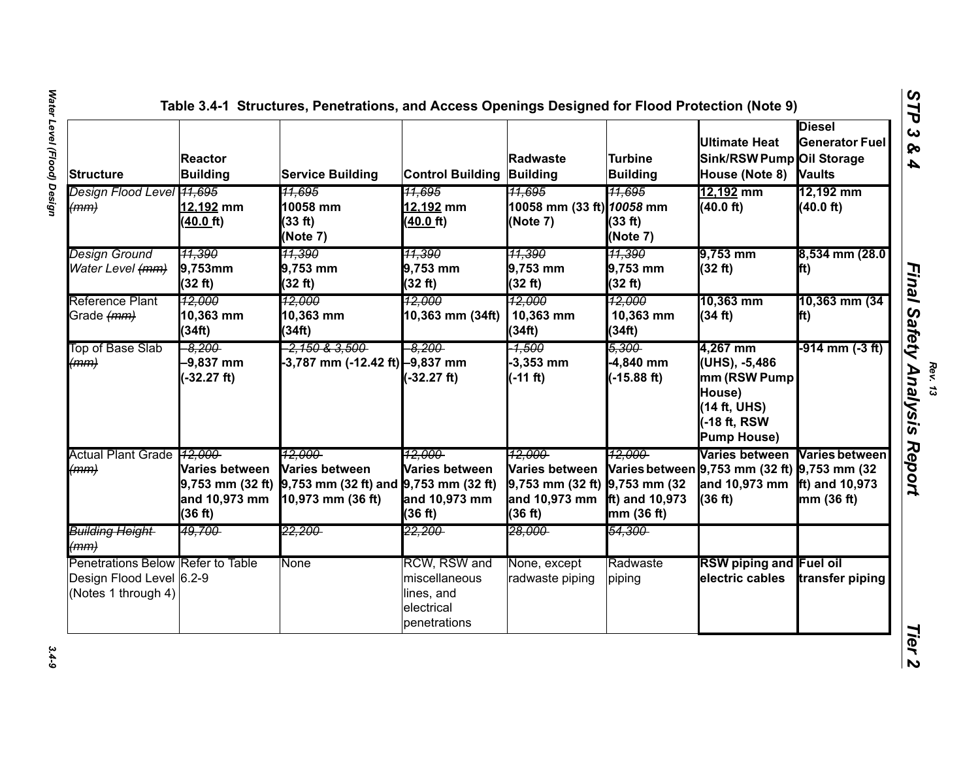| <b>Structure</b>                                                                     | <b>Reactor</b><br><b>Building</b>                                  | <b>Service Building</b>                                                                    | <b>Control Building</b>                                                   | <b>Radwaste</b><br>Building                                                                      | Turbine<br><b>Building</b>                  | Ultimate Heat<br>Sink/RSW Pump Oil Storage<br>House (Note 8)                                              | <b>Diesel</b><br><b>Generator Fuel</b><br><b>Vaults</b> |
|--------------------------------------------------------------------------------------|--------------------------------------------------------------------|--------------------------------------------------------------------------------------------|---------------------------------------------------------------------------|--------------------------------------------------------------------------------------------------|---------------------------------------------|-----------------------------------------------------------------------------------------------------------|---------------------------------------------------------|
| Design Flood Level 41,695<br>(mm)                                                    | 12,192 mm<br>(40.0_ft)                                             | <u>11.695</u><br>10058 mm<br>(33 ft)<br>(Note 7)                                           | 11,695<br>12,192 mm<br>(40.0 ft)                                          | 11.695<br>10058 mm (33 ft) 10058 mm<br>(Note 7)                                                  | <u>11,695</u><br>(33 ft)<br>(Note 7)        | 12,192 mm<br>(40.0 ft)                                                                                    | 12,192 mm<br>(40.0 ft)                                  |
| <b>Design Ground</b><br>Water Level (mm)                                             | <u> 11,390</u><br>$9,753$ mm<br>(32 ft)                            | 11,390<br>9,753 mm<br>(32 ft)                                                              | 11,390<br>9,753 mm<br>(32 ft)                                             | 11,390<br>9,753 mm<br>(32 ft)                                                                    | 11,390<br>9,753 mm<br>(32 ft)               | 9,753 mm<br>(32 ft)                                                                                       | 8,534 mm (28.0<br>lft)                                  |
| Reference Plant<br>Grade (mm)                                                        | 12.000<br>10,363 mm<br>(34ft)                                      | 12.000<br>10,363 mm<br>(34ft)                                                              | 12.000<br>10,363 mm (34ft)                                                | 12,000<br>10,363 mm<br>(34ft)                                                                    | 12,000<br>10,363 mm<br>(34ft)               | 10,363 mm<br>(34 ft)                                                                                      | 10,363 mm (34<br>lft)                                   |
| Top of Base Slab<br>(mm)                                                             | $-8.200$<br>$-9,837$ mm<br>$(-32.27 ft)$                           | <del>-2,150 &amp; 3,500 -</del><br>-3,787 mm (-12.42 ft) -9,837 mm                         | $-8.200$<br>$-32.27$ ft)                                                  | $-4,500$<br>$-3,353$ mm<br>$(-11 ft)$                                                            | 5.300<br>-4,840 mm<br>$(-15.88 \text{ ft})$ | 4,267 mm<br>(UHS), -5,486<br>mm (RSW Pump<br>House)<br>(14 ft, UHS)<br>-18 ft, RSW<br><b>Pump House)</b>  | -914 mm (-3 ft)                                         |
| Actual Plant Grade 12,000<br>(mm)                                                    | Varies between<br>$9,753$ mm $(32 ft)$<br>and 10,973 mm<br>(36 ft) | 12.000<br>Varies between<br>$9,753$ mm (32 ft) and $9,753$ mm (32 ft)<br>10,973 mm (36 ft) | 12.000-<br>Varies between<br>and 10,973 mm<br>(36 ft)                     | 12.000<br><b>Varies between</b><br>$9,753$ mm (32 ft) $9,753$ mm (32<br>and 10,973 mm<br>(36 ft) | 12,000<br>ft) and $10,973$<br>mm (36 ft)    | Varies between<br>Varies between 9,753 mm (32 ft) 9,753 mm (32<br>and 10,973 mm ft) and 10,973<br>(36 ft) | <b>Varies between</b><br>mm (36 ft)                     |
| Building Height<br>(mm)                                                              | 49,700-                                                            | <del>22,200-</del>                                                                         | <del>22,200-</del>                                                        | <del>28,000-</del>                                                                               | <del>54,300-</del>                          |                                                                                                           |                                                         |
| Penetrations Below Refer to Table<br>Design Flood Level 6.2-9<br>(Notes 1 through 4) |                                                                    | <b>None</b>                                                                                | RCW, RSW and<br>miscellaneous<br>lines, and<br>electrical<br>penetrations | None, except<br>radwaste piping                                                                  | Radwaste<br>piping                          | <b>RSW piping and Fuel oil</b><br>electric cables                                                         | transfer piping                                         |

 $3.4 - 9$ 

**Final Safety Analysis Report**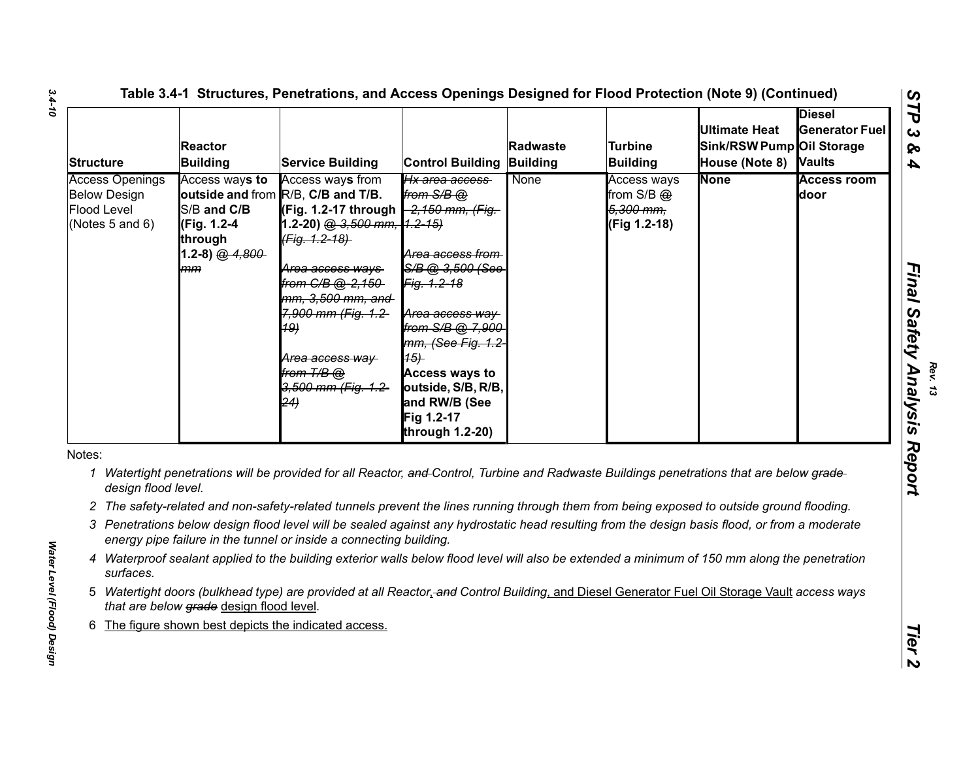| <b>Structure</b>                                                                | <b>Reactor</b><br><b>Building</b>                                                 | <b>Service Building</b>                                                                                                                                                                                                                                                                                                        | <b>Control Building</b>                                                                                                                                                                                                                                      | Radwaste<br>Building | <b>Turbine</b><br><b>Building</b>                          | <b>Ultimate Heat</b><br>Sink/RSW Pump Oil Storage<br>House (Note 8) Vaults | <b>Diesel</b><br><b>Generator Fuel</b> |
|---------------------------------------------------------------------------------|-----------------------------------------------------------------------------------|--------------------------------------------------------------------------------------------------------------------------------------------------------------------------------------------------------------------------------------------------------------------------------------------------------------------------------|--------------------------------------------------------------------------------------------------------------------------------------------------------------------------------------------------------------------------------------------------------------|----------------------|------------------------------------------------------------|----------------------------------------------------------------------------|----------------------------------------|
| <b>Access Openings</b><br><b>Below Design</b><br>Flood Level<br>(Notes 5 and 6) | Access ways to<br>S/B and C/B<br>(Fig. 1.2-4<br>through<br>1.2-8) $@.4.800$<br>mm | Access ways from<br>outside and from R/B, C/B and T/B.<br>(Fig. 1.2-17 through -2,150 mm, (Fig.<br>1.2-20) @ 3,500 mm, 1.2-15)<br>(Fig. 1.2-18)<br><del>Area access ways-</del><br>from C/B @-2,150-<br>mm, 3,500 mm, and<br>7,900 mm (Fig. 1.2-<br><b>19)</b><br>Area access way<br>from T/B @<br>3,500 mm (Fig. 1.2-<br>(24) | Hx area access<br>from $S/B$ $@$<br>Area access from<br>S/B @ 3.500 (See<br>Fig. 1.2-18<br>Area access way<br>from S/B @ 7,900<br>mm, (See Fig. 1.2<br>(15)<br><b>Access ways to</b><br>outside, S/B, R/B,<br>and RW/B (See<br>Fig 1.2-17<br>through 1.2-20) | None                 | Access ways<br>from $S/B$ $@$<br>5,300 mm,<br>(Fig 1.2-18) | <b>None</b>                                                                | <b>Access room</b><br>door             |
| Notes:<br>1<br>design flood level.                                              |                                                                                   | Watertight penetrations will be provided for all Reactor, and Control, Turbine and Radwaste Buildings penetrations that are below grade-                                                                                                                                                                                       |                                                                                                                                                                                                                                                              |                      |                                                            |                                                                            |                                        |
|                                                                                 |                                                                                   | 2 The safety-related and non-safety-related tunnels prevent the lines running through them from being exposed to outside ground flooding.                                                                                                                                                                                      |                                                                                                                                                                                                                                                              |                      |                                                            |                                                                            |                                        |
|                                                                                 |                                                                                   | 3 Penetrations below design flood level will be sealed against any hydrostatic head resulting from the design basis flood, or from a moderate<br>energy pipe failure in the tunnel or inside a connecting building.                                                                                                            |                                                                                                                                                                                                                                                              |                      |                                                            |                                                                            |                                        |
| surfaces.                                                                       |                                                                                   | 4 Waterproof sealant applied to the building exterior walls below flood level will also be extended a minimum of 150 mm along the penetration                                                                                                                                                                                  |                                                                                                                                                                                                                                                              |                      |                                                            |                                                                            |                                        |
|                                                                                 | that are below grade design flood level.                                          | 5 Watertight doors (bulkhead type) are provided at all Reactor, and Control Building, and Diesel Generator Fuel Oil Storage Vault access ways                                                                                                                                                                                  |                                                                                                                                                                                                                                                              |                      |                                                            |                                                                            |                                        |
| 6                                                                               |                                                                                   | The figure shown best depicts the indicated access.                                                                                                                                                                                                                                                                            |                                                                                                                                                                                                                                                              |                      |                                                            |                                                                            |                                        |
|                                                                                 |                                                                                   |                                                                                                                                                                                                                                                                                                                                |                                                                                                                                                                                                                                                              |                      |                                                            |                                                                            |                                        |

- 
- 
- 
- 
- 
- 

*3.4-10*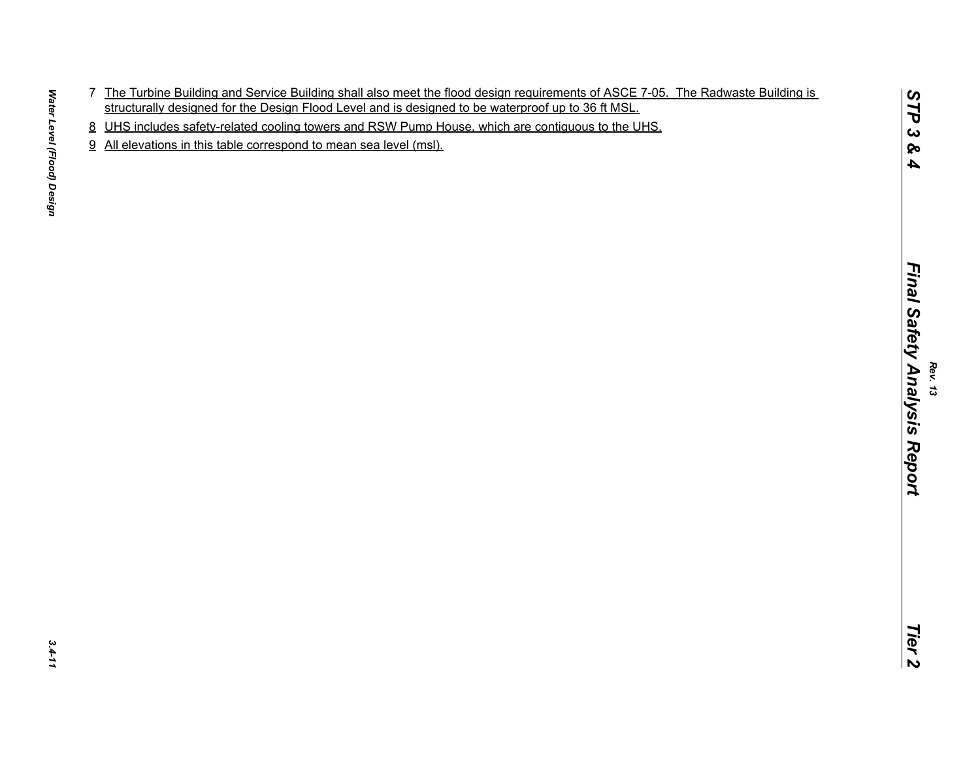- The Uniteral Bulleting and Service Bulleting and lated met the flood closification of the United Bulleting is<br>simultarily designed for the Design Flood Levels and a designed to be wetenproduce to 30 ft.MSL.<br>4. We will incl
- 
- 

 $3.4 - 11$